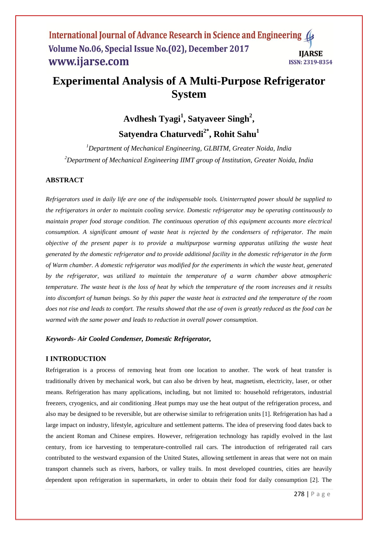#### International Journal of Advance Research in Science and Engineering 4 Volume No.06, Special Issue No.(02), December 2017 **IIARSE** www.ijarse.com ISSN: 2319-8354

# **Experimental Analysis of A Multi-Purpose Refrigerator System**

# **Avdhesh Tyagi<sup>1</sup> , Satyaveer Singh<sup>2</sup> , Satyendra Chaturvedi2\* , Rohit Sahu<sup>1</sup>**

*<sup>1</sup>Department of Mechanical Engineering, GLBITM, Greater Noida, India <sup>2</sup>Department of Mechanical Engineering IIMT group of Institution, Greater Noida, India*

#### **ABSTRACT**

*Refrigerators used in daily life are one of the indispensable tools. Uninterrupted power should be supplied to the refrigerators in order to maintain cooling service. Domestic refrigerator may be operating continuously to maintain proper food storage condition. The continuous operation of this equipment accounts more electrical consumption. A significant amount of waste heat is rejected by the condensers of refrigerator. The main objective of the present paper is to provide a multipurpose warming apparatus utilizing the waste heat generated by the domestic refrigerator and to provide additional facility in the domestic refrigerator in the form of Warm chamber. A domestic refrigerator was modified for the experiments in which the waste heat, generated by the refrigerator, was utilized to maintain the temperature of a warm chamber above atmospheric temperature. The waste heat is the loss of heat by which the temperature of the room increases and it results into discomfort of human beings. So by this paper the waste heat is extracted and the temperature of the room*  does not rise and leads to comfort. The results showed that the use of oven is greatly reduced as the food can be *warmed with the same power and leads to reduction in overall power consumption.*

#### *Keywords- Air Cooled Condenser, Domestic Refrigerator,*

#### **I INTRODUCTION**

Refrigeration is a process of removing heat from one location to another. The work of heat transfer is traditionally driven by mechanical work, but can also be driven by heat, magnetism, electricity, laser, or other means. Refrigeration has many applications, including, but not limited to: household refrigerators, industrial freezers, cryogenics, and air conditioning .Heat pumps may use the heat output of the refrigeration process, and also may be designed to be reversible, but are otherwise similar to refrigeration units [1]. Refrigeration has had a large impact on industry, lifestyle, agriculture and settlement patterns. The idea of preserving food dates back to the ancient Roman and Chinese empires. However, refrigeration technology has rapidly evolved in the last century, from ice harvesting to temperature-controlled rail cars. The introduction of refrigerated rail cars contributed to the westward expansion of the United States, allowing settlement in areas that were not on main transport channels such as rivers, harbors, or valley trails. In most developed countries, cities are heavily dependent upon refrigeration in supermarkets, in order to obtain their food for daily consumption [2]. The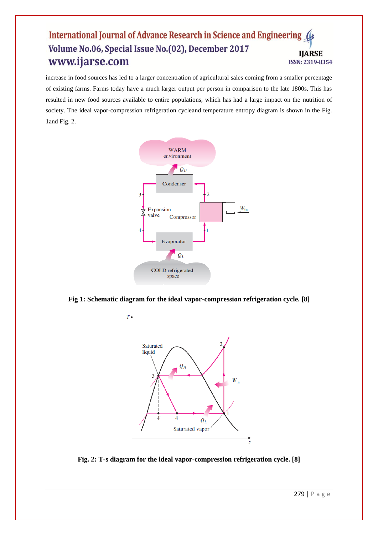#### International Journal of Advance Research in Science and Engineering Volume No.06, Special Issue No.(02), December 2017 **IIARSE** www.ijarse.com ISSN: 2319-8354

increase in food sources has led to a larger concentration of agricultural sales coming from a smaller percentage of existing farms. Farms today have a much larger output per person in comparison to the late 1800s. This has resulted in new food sources available to entire populations, which has had a large impact on the nutrition of society. The ideal vapor-compression refrigeration cycleand temperature entropy diagram is shown in the Fig. 1and Fig. 2.



**Fig 1: Schematic diagram for the ideal vapor-compression refrigeration cycle. [8]**



**Fig. 2: T-s diagram for the ideal vapor-compression refrigeration cycle. [8]**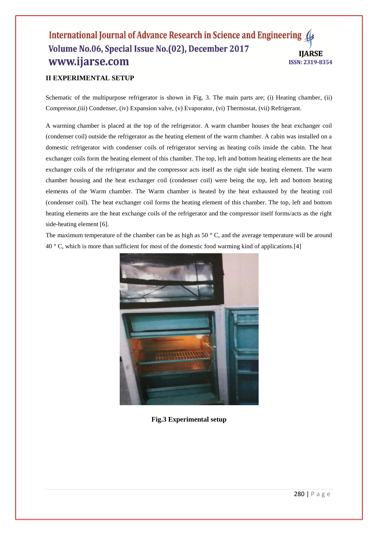### International Journal of Advance Research in Science and Engineering 4 Volume No.06, Special Issue No.(02), December 2017 **IIARSE** www.ijarse.com ISSN: 2319-8354

## **II EXPERIMENTAL SETUP**

Schematic of the multipurpose refrigerator is shown in Fig. 3. The main parts are; (i) Heating chamber, (ii) Compressor,(iii) Condenser, (iv) Expansion valve, (v) Evaporator, (vi) Thermostat, (vii) Refrigerant.

A warming chamber is placed at the top of the refrigerator. A warm chamber houses the heat exchanger coil (condenser coil) outside the refrigerator as the heating element of the warm chamber. A cabin was installed on a domestic refrigerator with condenser coils of refrigerator serving as heating coils inside the cabin. The heat exchanger coils form the heating element of this chamber. The top, left and bottom heating elements are the heat exchanger coils of the refrigerator and the compressor acts itself as the right side heating element. The warm chamber housing and the heat exchanger coil (condenser coil) were being the top, left and bottom heating elements of the Warm chamber. The Warm chamber is heated by the heat exhausted by the heating coil (condenser coil). The heat exchanger coil forms the heating element of this chamber. The top, left and bottom heating elements are the heat exchange coils of the refrigerator and the compressor itself forms/acts as the right side-heating element [6].

The maximum temperature of the chamber can be as high as  $50^\circ$  C, and the average temperature will be around 40 ° C, which is more than sufficient for most of the domestic food warming kind of applications.[4]



**Fig.3 Experimental setup**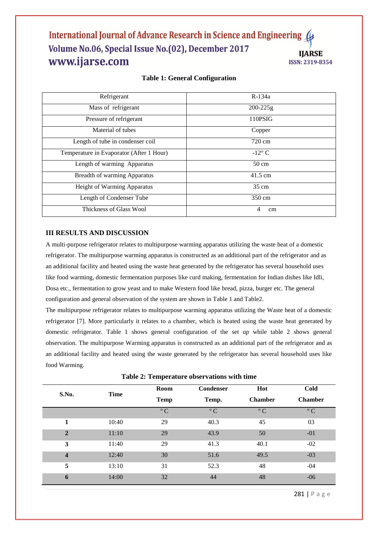#### International Journal of Advance Research in Science and Engineering Volume No.06, Special Issue No.(02), December 2017 **IIARSE** www.ijarse.com ISSN: 2319-8354

#### **Table 1: General Configuration**

| Refrigerant                              | $R-134a$        |
|------------------------------------------|-----------------|
| Mass of refrigerant                      | $200 - 225g$    |
| Pressure of refrigerant                  | 110PSIG         |
| Material of tubes                        | Copper          |
| Length of tube in condenser coil         | 720 cm          |
| Temperature in Evaporator (After 1 Hour) | $-12^{\circ}$ C |
| Length of warming Apparatus              | $50 \text{ cm}$ |
| <b>Breadth of warming Apparatus</b>      | 41.5 cm         |
| Height of Warming Apparatus              | $35 \text{ cm}$ |
| Length of Condenser Tube                 | 350 cm          |
| Thickness of Glass Wool                  | 4<br>cm         |

#### **III RESULTS AND DISCUSSION**

A multi-purpose refrigerator relates to multipurpose warming apparatus utilizing the waste heat of a domestic refrigerator. The multipurpose warming apparatus is constructed as an additional part of the refrigerator and as an additional facility and heated using the waste heat generated by the refrigerator has several household uses like food warming, domestic fermentation purposes like curd making, fermentation for Indian dishes like Idli, Dosa etc., fermentation to grow yeast and to make Western food like bread, pizza, burger etc. The general configuration and general observation of the system are shown in Table 1 and Table2.

The multipurpose refrigerator relates to multipurpose warming apparatus utilizing the Waste heat of a domestic refrigerator [7]. More particularly it relates to a chamber, which is heated using the waste heat generated by domestic refrigerator. Table 1 shows general configuration of the set up while table 2 shows general observation. The multipurpose Warming apparatus is constructed as an additional part of the refrigerator and as an additional facility and heated using the waste generated by the refrigerator has several household uses like food Warming.

| S.No.                   | <b>Time</b> | Room<br><b>Temp</b> | <b>Condenser</b><br>Temp. | Hot<br><b>Chamber</b> | Cold<br><b>Chamber</b> |
|-------------------------|-------------|---------------------|---------------------------|-----------------------|------------------------|
|                         |             | $\rm ^{\circ}$ C    | $\rm ^{\circ}$ C          | $\rm ^{\circ}$ C      | $\rm ^{\circ}$ C       |
| 1                       | 10:40       | 29                  | 40.3                      | 45                    | 03                     |
| $\overline{2}$          | 11:10       | 29                  | 43.9                      | 50                    | $-01$                  |
| 3                       | 11:40       | 29                  | 41.3                      | 40.1                  | $-02$                  |
| $\overline{\mathbf{4}}$ | 12:40       | 30                  | 51.6                      | 49.5                  | $-03$                  |
| 5                       | 13:10       | 31                  | 52.3                      | 48                    | $-04$                  |
| 6                       | 14:00       | 32                  | 44                        | 48                    | $-06$                  |

**Table 2: Temperature observations with time**

281 | P a g e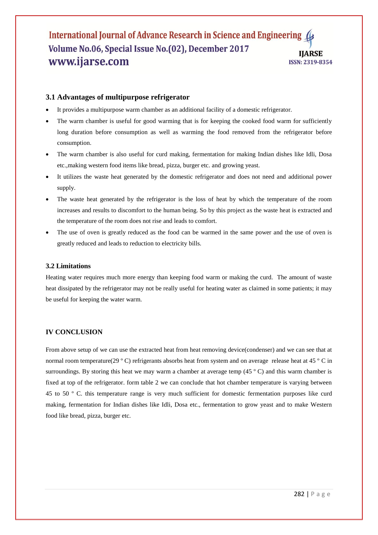#### International Journal of Advance Research in Science and Engineering 4 Volume No.06, Special Issue No.(02), December 2017 **IIARSE** www.ijarse.com ISSN: 2319-8354

#### **3.1 Advantages of multipurpose refrigerator**

- It provides a multipurpose warm chamber as an additional facility of a domestic refrigerator.
- The warm chamber is useful for good warming that is for keeping the cooked food warm for sufficiently long duration before consumption as well as warming the food removed from the refrigerator before consumption.
- The warm chamber is also useful for curd making, fermentation for making Indian dishes like Idli, Dosa etc.,making western food items like bread, pizza, burger etc. and growing yeast.
- It utilizes the waste heat generated by the domestic refrigerator and does not need and additional power supply.
- The waste heat generated by the refrigerator is the loss of heat by which the temperature of the room increases and results to discomfort to the human being. So by this project as the waste heat is extracted and the temperature of the room does not rise and leads to comfort.
- The use of oven is greatly reduced as the food can be warmed in the same power and the use of oven is greatly reduced and leads to reduction to electricity bills.

#### **3.2 Limitations**

Heating water requires much more energy than keeping food warm or making the curd. The amount of waste heat dissipated by the refrigerator may not be really useful for heating water as claimed in some patients; it may be useful for keeping the water warm.

#### **IV CONCLUSION**

From above setup of we can use the extracted heat from heat removing device(condenser) and we can see that at normal room temperature(29 º C) refrigerants absorbs heat from system and on average release heat at 45 º C in surroundings. By storing this heat we may warm a chamber at average temp (45 °C) and this warm chamber is fixed at top of the refrigerator. form table 2 we can conclude that hot chamber temperature is varying between 45 to 50 º C. this temperature range is very much sufficient for domestic fermentation purposes like curd making, fermentation for Indian dishes like Idli, Dosa etc., fermentation to grow yeast and to make Western food like bread, pizza, burger etc.